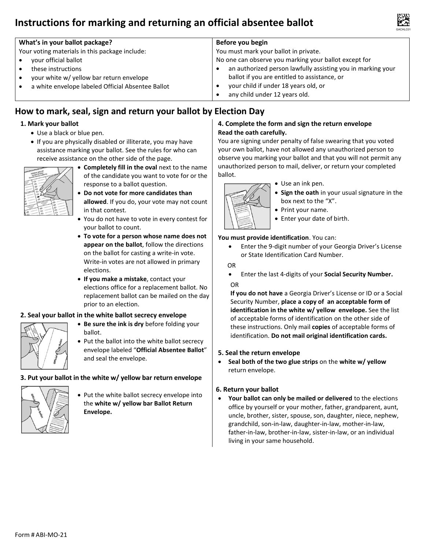# **Instructions for marking and returning an official absentee ballot**



| What's in your ballot package?                    | Before you begin                                            |
|---------------------------------------------------|-------------------------------------------------------------|
| Your voting materials in this package include:    | You must mark your ballot in private.                       |
| your official ballot                              | No one can observe you marking your ballot except for       |
| these instructions                                | an authorized person lawfully assisting you in marking your |
| your white w/ yellow bar return envelope          | ballot if you are entitled to assistance, or                |
| a white envelope labeled Official Absentee Ballot | your child if under 18 years old, or                        |
|                                                   | any child under 12 years old.                               |

# **How to mark, seal, sign and return your ballot by Election Day**

#### **1. Mark your ballot**

- Use a black or blue pen.
- If you are physically disabled or illiterate, you may have assistance marking your ballot. See the rules for who can receive assistance on the other side of the page.



- **Completely fill in the oval** next to the name of the candidate you want to vote for or the response to a ballot question.
- **Do not vote for more candidates than allowed**. If you do, your vote may not count in that contest.
- You do not have to vote in every contest for your ballot to count.
- **To vote for a person whose name does not appear on the ballot**, follow the directions on the ballot for casting a write-in vote. Write-in votes are not allowed in primary elections.
- **If you make a mistake**, contact your elections office for a replacement ballot. No replacement ballot can be mailed on the day prior to an election.

#### **2. Seal your ballot in the white ballot secrecy envelope**

- **Be sure the ink is dry** before folding your ballot.
- Put the ballot into the white ballot secrecy envelope labeled "**Official Absentee Ballot**" and seal the envelope.

#### **3. Put your ballot in the white w/ yellow bar return envelope**



• Put the white ballot secrecy envelope into the **white w/ yellow bar Ballot Return Envelope.**

#### **4. Complete the form and sign the return envelope Read the oath carefully.**

You are signing under penalty of false swearing that you voted your own ballot, have not allowed any unauthorized person to observe you marking your ballot and that you will not permit any unauthorized person to mail, deliver, or return your completed ballot.



- Use an ink pen.
- **Sign the oath** in your usual signature in the box next to the "X".
- Print your name.
- Enter your date of birth.

#### **You must provide identification**. You can:

• Enter the 9-digit number of your Georgia Driver's License or State Identification Card Number.

#### OR

• Enter the last 4-digits of your **Social Security Number.** OR

**If you do not have** a Georgia Driver's License or ID or a Social Security Number, **place a copy of an acceptable form of identification in the white w/ yellow envelope.** See the list of acceptable forms of identification on the other side of these instructions. Only mail **copies** of acceptable forms of identification. **Do not mail original identification cards.** 

#### **5. Seal the return envelope**

• **Seal both of the two glue strips** on the **white w/ yellow** return envelope.

#### **6. Return your ballot**

• **Your ballot can only be mailed or delivered** to the elections office by yourself or your mother, father, grandparent, aunt, uncle, brother, sister, spouse, son, daughter, niece, nephew, grandchild, son-in-law, daughter-in-law, mother-in-law, father-in-law, brother-in-law, sister-in-law, or an individual living in your same household.